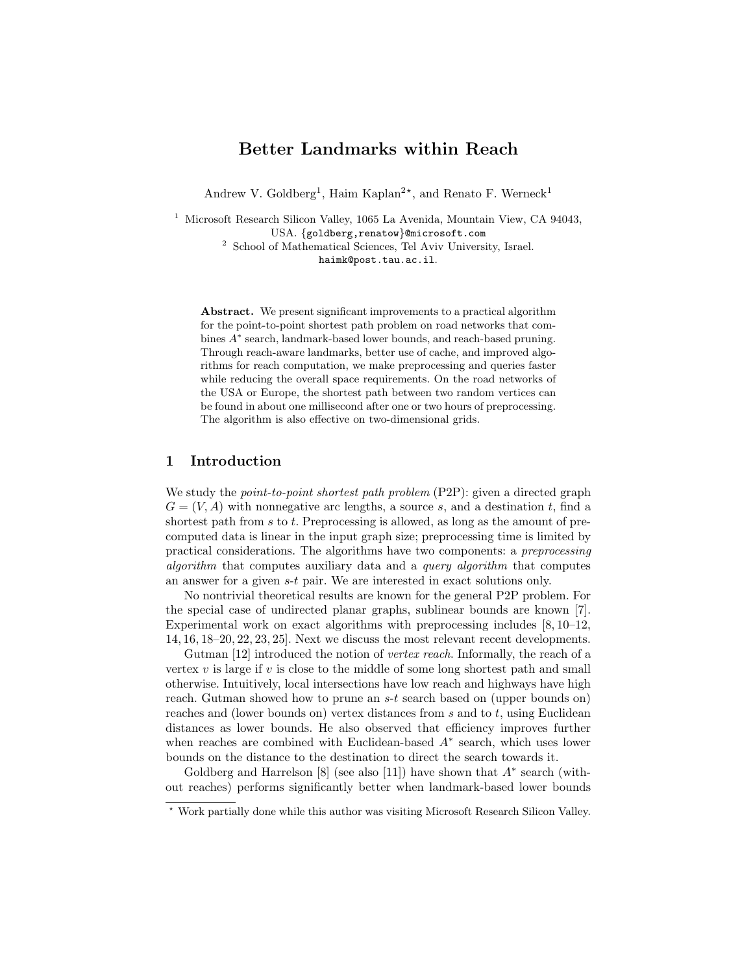# Better Landmarks within Reach

Andrew V. Goldberg<sup>1</sup>, Haim Kaplan<sup>2\*</sup>, and Renato F. Werneck<sup>1</sup>

<sup>1</sup> Microsoft Research Silicon Valley, 1065 La Avenida, Mountain View, CA 94043, USA. {goldberg,renatow}@microsoft.com

<sup>2</sup> School of Mathematical Sciences, Tel Aviv University, Israel. haimk@post.tau.ac.il.

Abstract. We present significant improvements to a practical algorithm for the point-to-point shortest path problem on road networks that combines  $A^*$  search, landmark-based lower bounds, and reach-based pruning. Through reach-aware landmarks, better use of cache, and improved algorithms for reach computation, we make preprocessing and queries faster while reducing the overall space requirements. On the road networks of the USA or Europe, the shortest path between two random vertices can be found in about one millisecond after one or two hours of preprocessing. The algorithm is also effective on two-dimensional grids.

## 1 Introduction

We study the *point-to-point shortest path problem* (P2P): given a directed graph  $G = (V, A)$  with nonnegative arc lengths, a source s, and a destination t, find a shortest path from  $s$  to  $t$ . Preprocessing is allowed, as long as the amount of precomputed data is linear in the input graph size; preprocessing time is limited by practical considerations. The algorithms have two components: a preprocessing algorithm that computes auxiliary data and a query algorithm that computes an answer for a given s-t pair. We are interested in exact solutions only.

No nontrivial theoretical results are known for the general P2P problem. For the special case of undirected planar graphs, sublinear bounds are known [7]. Experimental work on exact algorithms with preprocessing includes  $[8, 10-12]$ , 14, 16, 18–20, 22, 23, 25]. Next we discuss the most relevant recent developments.

Gutman [12] introduced the notion of vertex reach. Informally, the reach of a vertex  $v$  is large if  $v$  is close to the middle of some long shortest path and small otherwise. Intuitively, local intersections have low reach and highways have high reach. Gutman showed how to prune an s-t search based on (upper bounds on) reaches and (lower bounds on) vertex distances from  $s$  and to  $t$ , using Euclidean distances as lower bounds. He also observed that efficiency improves further when reaches are combined with Euclidean-based  $A^*$  search, which uses lower bounds on the distance to the destination to direct the search towards it.

Goldberg and Harrelson  $[8]$  (see also [11]) have shown that  $A^*$  search (without reaches) performs significantly better when landmark-based lower bounds

<sup>⋆</sup> Work partially done while this author was visiting Microsoft Research Silicon Valley.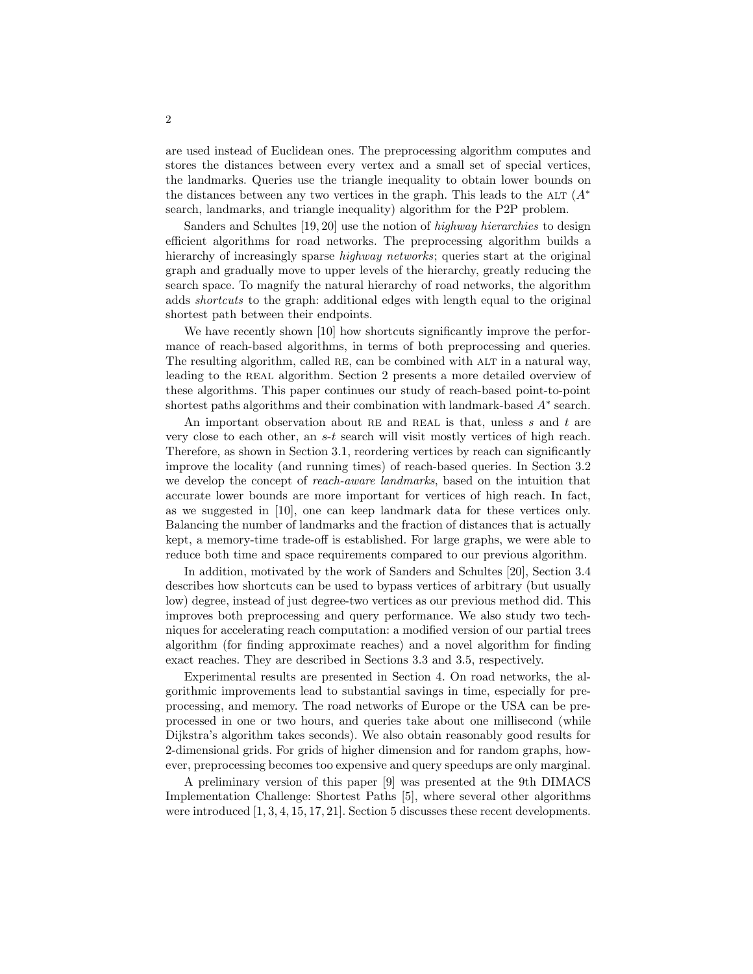are used instead of Euclidean ones. The preprocessing algorithm computes and stores the distances between every vertex and a small set of special vertices, the landmarks. Queries use the triangle inequality to obtain lower bounds on the distances between any two vertices in the graph. This leads to the ALT  $(A^*)$ search, landmarks, and triangle inequality) algorithm for the P2P problem.

Sanders and Schultes [19, 20] use the notion of highway hierarchies to design efficient algorithms for road networks. The preprocessing algorithm builds a hierarchy of increasingly sparse *highway networks*; queries start at the original graph and gradually move to upper levels of the hierarchy, greatly reducing the search space. To magnify the natural hierarchy of road networks, the algorithm adds shortcuts to the graph: additional edges with length equal to the original shortest path between their endpoints.

We have recently shown [10] how shortcuts significantly improve the performance of reach-based algorithms, in terms of both preprocessing and queries. The resulting algorithm, called RE, can be combined with ALT in a natural way, leading to the REAL algorithm. Section 2 presents a more detailed overview of these algorithms. This paper continues our study of reach-based point-to-point shortest paths algorithms and their combination with landmark-based A<sup>∗</sup> search.

An important observation about RE and REAL is that, unless s and t are very close to each other, an s-t search will visit mostly vertices of high reach. Therefore, as shown in Section 3.1, reordering vertices by reach can significantly improve the locality (and running times) of reach-based queries. In Section 3.2 we develop the concept of reach-aware landmarks, based on the intuition that accurate lower bounds are more important for vertices of high reach. In fact, as we suggested in [10], one can keep landmark data for these vertices only. Balancing the number of landmarks and the fraction of distances that is actually kept, a memory-time trade-off is established. For large graphs, we were able to reduce both time and space requirements compared to our previous algorithm.

In addition, motivated by the work of Sanders and Schultes [20], Section 3.4 describes how shortcuts can be used to bypass vertices of arbitrary (but usually low) degree, instead of just degree-two vertices as our previous method did. This improves both preprocessing and query performance. We also study two techniques for accelerating reach computation: a modified version of our partial trees algorithm (for finding approximate reaches) and a novel algorithm for finding exact reaches. They are described in Sections 3.3 and 3.5, respectively.

Experimental results are presented in Section 4. On road networks, the algorithmic improvements lead to substantial savings in time, especially for preprocessing, and memory. The road networks of Europe or the USA can be preprocessed in one or two hours, and queries take about one millisecond (while Dijkstra's algorithm takes seconds). We also obtain reasonably good results for 2-dimensional grids. For grids of higher dimension and for random graphs, however, preprocessing becomes too expensive and query speedups are only marginal.

A preliminary version of this paper [9] was presented at the 9th DIMACS Implementation Challenge: Shortest Paths [5], where several other algorithms were introduced [1, 3, 4, 15, 17, 21]. Section 5 discusses these recent developments.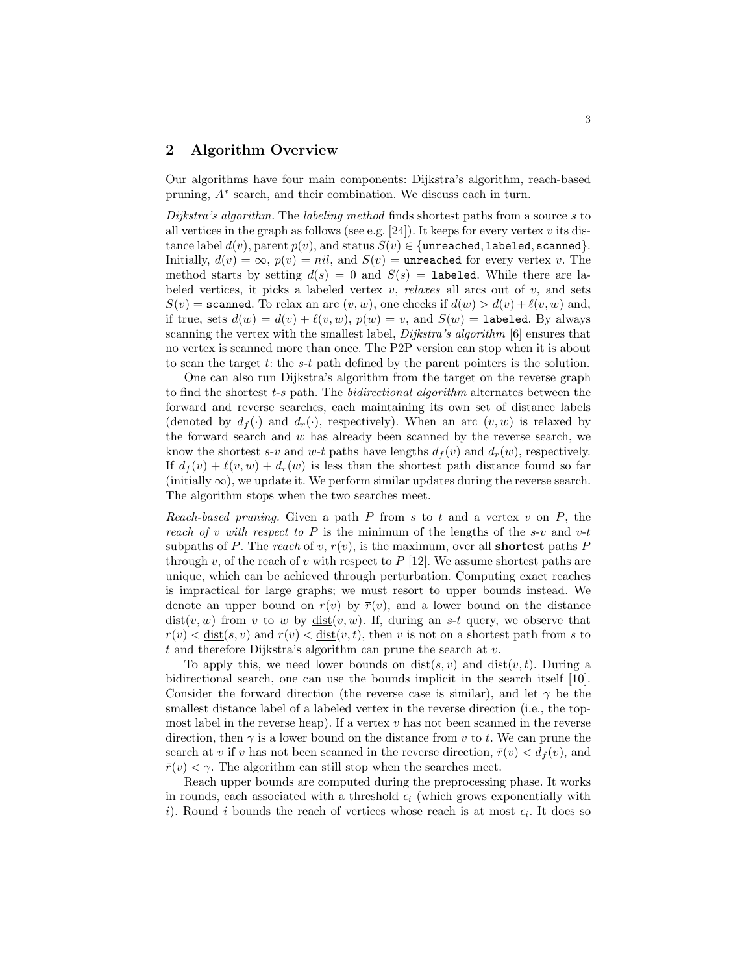# 2 Algorithm Overview

Our algorithms have four main components: Dijkstra's algorithm, reach-based pruning,  $A^*$  search, and their combination. We discuss each in turn.

Dijkstra's algorithm. The labeling method finds shortest paths from a source s to all vertices in the graph as follows (see e.g. [24]). It keeps for every vertex v its distance label  $d(v)$ , parent  $p(v)$ , and status  $S(v) \in \{\text{unreached}, \text{labeled}, \text{scanned}\}.$ Initially,  $d(v) = \infty$ ,  $p(v) = nil$ , and  $S(v) =$ **unreached** for every vertex v. The method starts by setting  $d(s) = 0$  and  $S(s) = 1$ abeled. While there are labeled vertices, it picks a labeled vertex  $v$ , *relaxes* all arcs out of  $v$ , and sets  $S(v)$  = scanned. To relax an arc  $(v, w)$ , one checks if  $d(w) > d(v) + l(v, w)$  and, if true, sets  $d(w) = d(v) + \ell(v, w)$ ,  $p(w) = v$ , and  $S(w) =$  labeled. By always scanning the vertex with the smallest label,  $Dijkstra's algorithm$  [6] ensures that no vertex is scanned more than once. The P2P version can stop when it is about to scan the target  $t$ : the  $s$ - $t$  path defined by the parent pointers is the solution.

One can also run Dijkstra's algorithm from the target on the reverse graph to find the shortest t-s path. The *bidirectional algorithm* alternates between the forward and reverse searches, each maintaining its own set of distance labels (denoted by  $d_f(\cdot)$  and  $d_r(\cdot)$ , respectively). When an arc  $(v, w)$  is relaxed by the forward search and  $w$  has already been scanned by the reverse search, we know the shortest s-v and w-t paths have lengths  $d_f(v)$  and  $d_r(w)$ , respectively. If  $d_f(v) + \ell(v, w) + d_r(w)$  is less than the shortest path distance found so far  $(\text{initially } \infty)$ , we update it. We perform similar updates during the reverse search. The algorithm stops when the two searches meet.

Reach-based pruning. Given a path  $P$  from  $s$  to  $t$  and a vertex  $v$  on  $P$ , the reach of v with respect to P is the minimum of the lengths of the s-v and  $v$ -t subpaths of P. The reach of v,  $r(v)$ , is the maximum, over all **shortest** paths P through v, of the reach of v with respect to  $P$  [12]. We assume shortest paths are unique, which can be achieved through perturbation. Computing exact reaches is impractical for large graphs; we must resort to upper bounds instead. We denote an upper bound on  $r(v)$  by  $\overline{r}(v)$ , and a lower bound on the distance  $dist(v, w)$  from v to w by  $dist(v, w)$ . If, during an s-t query, we observe that  $\overline{r}(v) < \underline{\text{dist}}(s, v)$  and  $\overline{r}(v) < \underline{\text{dist}}(v, t)$ , then v is not on a shortest path from s to t and therefore Dijkstra's algorithm can prune the search at  $v$ .

To apply this, we need lower bounds on  $dist(s, v)$  and  $dist(v, t)$ . During a bidirectional search, one can use the bounds implicit in the search itself [10]. Consider the forward direction (the reverse case is similar), and let  $\gamma$  be the smallest distance label of a labeled vertex in the reverse direction (i.e., the topmost label in the reverse heap). If a vertex  $v$  has not been scanned in the reverse direction, then  $\gamma$  is a lower bound on the distance from v to t. We can prune the search at v if v has not been scanned in the reverse direction,  $\bar{r}(v) < d_f(v)$ , and  $\bar{r}(v) < \gamma$ . The algorithm can still stop when the searches meet.

Reach upper bounds are computed during the preprocessing phase. It works in rounds, each associated with a threshold  $\epsilon_i$  (which grows exponentially with i). Round i bounds the reach of vertices whose reach is at most  $\epsilon_i$ . It does so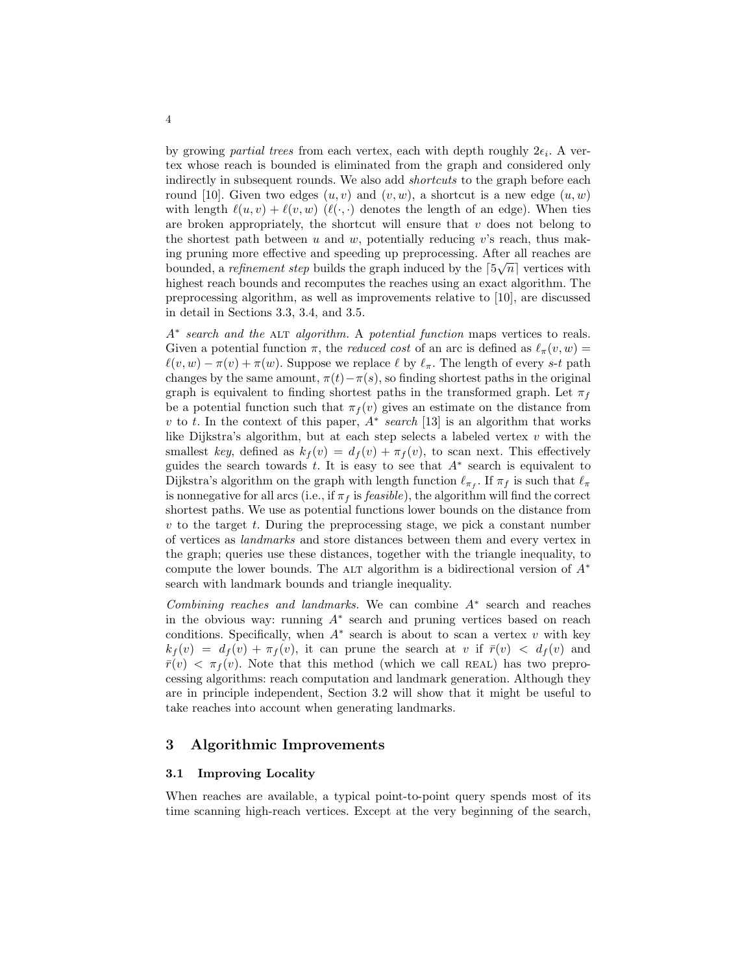by growing *partial trees* from each vertex, each with depth roughly  $2\epsilon_i$ . A vertex whose reach is bounded is eliminated from the graph and considered only indirectly in subsequent rounds. We also add *shortcuts* to the graph before each round [10]. Given two edges  $(u, v)$  and  $(v, w)$ , a shortcut is a new edge  $(u, w)$ with length  $\ell(u, v) + \ell(v, w)$   $(\ell(\cdot, \cdot))$  denotes the length of an edge). When ties are broken appropriately, the shortcut will ensure that  $v$  does not belong to the shortest path between  $u$  and  $w$ , potentially reducing v's reach, thus making pruning more effective and speeding up preprocessing. After all reaches are bounded, a *refinement step* builds the graph induced by the  $\lceil 5\sqrt{n} \rceil$  vertices with highest reach bounds and recomputes the reaches using an exact algorithm. The preprocessing algorithm, as well as improvements relative to [10], are discussed in detail in Sections 3.3, 3.4, and 3.5.

A<sup>∗</sup> search and the ALT algorithm. A potential function maps vertices to reals. Given a potential function  $\pi$ , the *reduced cost* of an arc is defined as  $\ell_{\pi}(v, w)$  =  $\ell(v, w) - \pi(v) + \pi(w)$ . Suppose we replace  $\ell$  by  $\ell_{\pi}$ . The length of every s-t path changes by the same amount,  $\pi(t)-\pi(s)$ , so finding shortest paths in the original graph is equivalent to finding shortest paths in the transformed graph. Let  $\pi_f$ be a potential function such that  $\pi_f(v)$  gives an estimate on the distance from v to t. In the context of this paper,  $A^*$  search [13] is an algorithm that works like Dijkstra's algorithm, but at each step selects a labeled vertex  $v$  with the smallest key, defined as  $k_f(v) = d_f(v) + \pi_f(v)$ , to scan next. This effectively guides the search towards t. It is easy to see that  $A^*$  search is equivalent to Dijkstra's algorithm on the graph with length function  $\ell_{\pi_f}$ . If  $\pi_f$  is such that  $\ell_{\pi_f}$ is nonnegative for all arcs (i.e., if  $\pi_f$  is *feasible*), the algorithm will find the correct shortest paths. We use as potential functions lower bounds on the distance from  $v$  to the target  $t$ . During the preprocessing stage, we pick a constant number of vertices as landmarks and store distances between them and every vertex in the graph; queries use these distances, together with the triangle inequality, to compute the lower bounds. The ALT algorithm is a bidirectional version of  $A^*$ search with landmark bounds and triangle inequality.

Combining reaches and landmarks. We can combine  $A^*$  search and reaches in the obvious way: running A<sup>∗</sup> search and pruning vertices based on reach conditions. Specifically, when  $A^*$  search is about to scan a vertex v with key  $k_f(v) = d_f(v) + \pi_f(v)$ , it can prune the search at v if  $\bar{r}(v) < d_f(v)$  and  $\bar{r}(v) < \pi_f(v)$ . Note that this method (which we call REAL) has two preprocessing algorithms: reach computation and landmark generation. Although they are in principle independent, Section 3.2 will show that it might be useful to take reaches into account when generating landmarks.

## 3 Algorithmic Improvements

#### 3.1 Improving Locality

When reaches are available, a typical point-to-point query spends most of its time scanning high-reach vertices. Except at the very beginning of the search,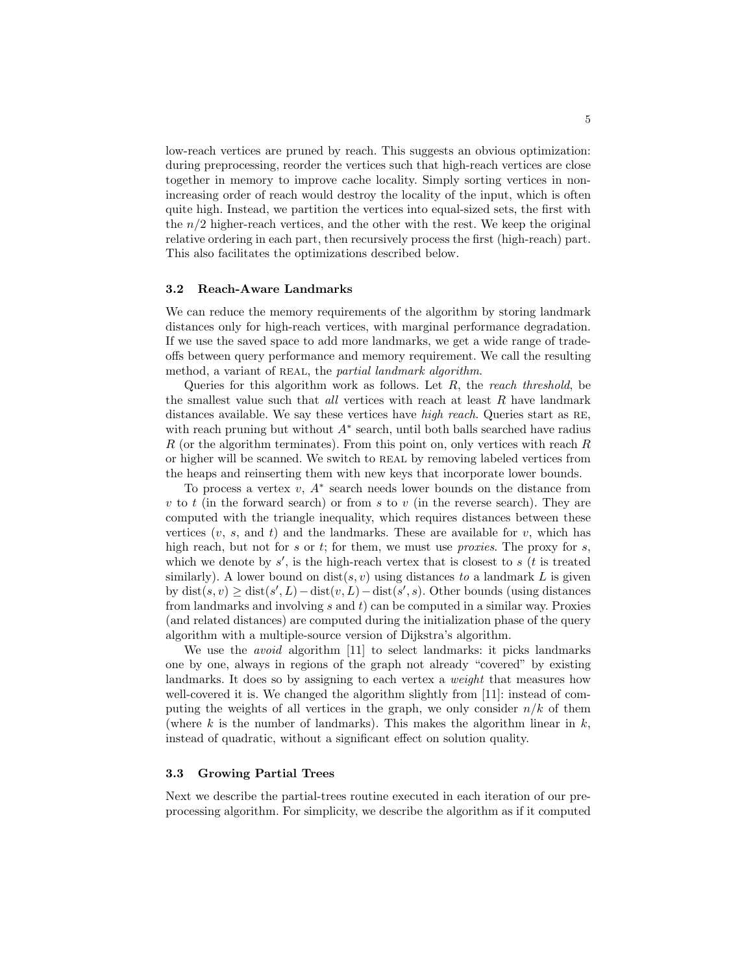low-reach vertices are pruned by reach. This suggests an obvious optimization: during preprocessing, reorder the vertices such that high-reach vertices are close together in memory to improve cache locality. Simply sorting vertices in nonincreasing order of reach would destroy the locality of the input, which is often quite high. Instead, we partition the vertices into equal-sized sets, the first with the  $n/2$  higher-reach vertices, and the other with the rest. We keep the original relative ordering in each part, then recursively process the first (high-reach) part. This also facilitates the optimizations described below.

#### 3.2 Reach-Aware Landmarks

We can reduce the memory requirements of the algorithm by storing landmark distances only for high-reach vertices, with marginal performance degradation. If we use the saved space to add more landmarks, we get a wide range of tradeoffs between query performance and memory requirement. We call the resulting method, a variant of REAL, the partial landmark algorithm.

Queries for this algorithm work as follows. Let  $R$ , the reach threshold, be the smallest value such that  $all$  vertices with reach at least  $R$  have landmark distances available. We say these vertices have *high reach*. Queries start as RE, with reach pruning but without  $A^*$  search, until both balls searched have radius R (or the algorithm terminates). From this point on, only vertices with reach  $R$ or higher will be scanned. We switch to REAL by removing labeled vertices from the heaps and reinserting them with new keys that incorporate lower bounds.

To process a vertex  $v, A^*$  search needs lower bounds on the distance from v to t (in the forward search) or from s to v (in the reverse search). They are computed with the triangle inequality, which requires distances between these vertices  $(v, s, \text{ and } t)$  and the landmarks. These are available for v, which has high reach, but not for  $s$  or  $t$ ; for them, we must use *proxies*. The proxy for  $s$ , which we denote by  $s'$ , is the high-reach vertex that is closest to  $s$  (t is treated similarly). A lower bound on  $dist(s, v)$  using distances to a landmark L is given by  $dist(s, v) \geq dist(s', L) - dist(v, L) - dist(s', s)$ . Other bounds (using distances from landmarks and involving  $s$  and  $t$ ) can be computed in a similar way. Proxies (and related distances) are computed during the initialization phase of the query algorithm with a multiple-source version of Dijkstra's algorithm.

We use the *avoid* algorithm [11] to select landmarks: it picks landmarks one by one, always in regions of the graph not already "covered" by existing landmarks. It does so by assigning to each vertex a weight that measures how well-covered it is. We changed the algorithm slightly from [11]: instead of computing the weights of all vertices in the graph, we only consider  $n/k$  of them (where k is the number of landmarks). This makes the algorithm linear in  $k$ , instead of quadratic, without a significant effect on solution quality.

#### 3.3 Growing Partial Trees

Next we describe the partial-trees routine executed in each iteration of our preprocessing algorithm. For simplicity, we describe the algorithm as if it computed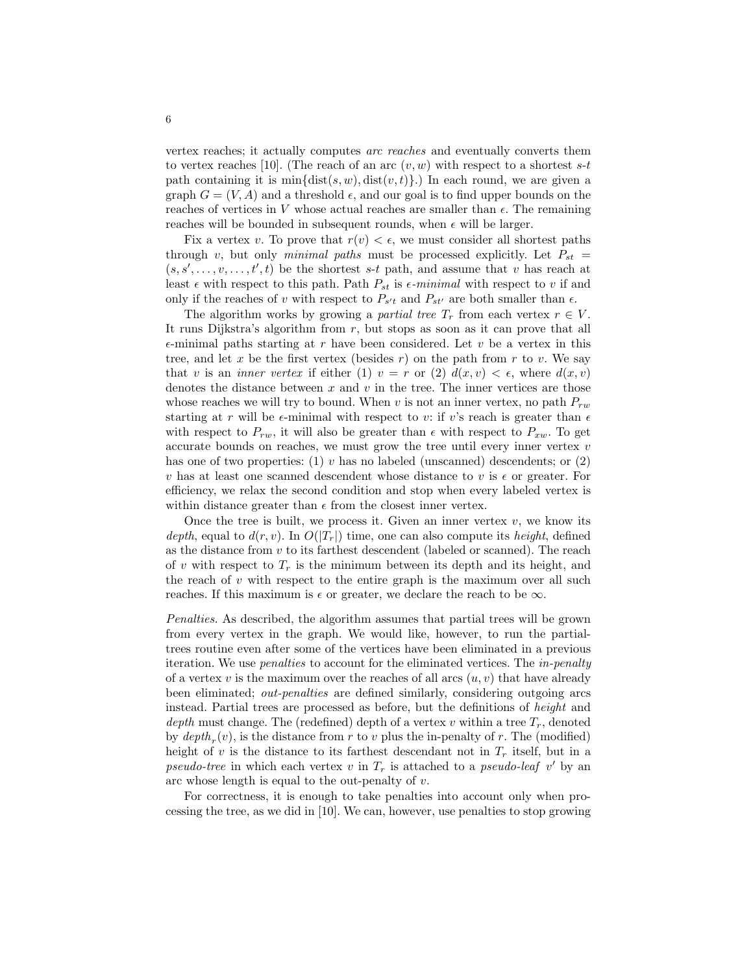vertex reaches; it actually computes arc reaches and eventually converts them to vertex reaches [10]. (The reach of an arc  $(v, w)$  with respect to a shortest s-t path containing it is  $\min{\{\text{dist}(s, w), \text{dist}(v, t)\}}$ . In each round, we are given a graph  $G = (V, A)$  and a threshold  $\epsilon$ , and our goal is to find upper bounds on the reaches of vertices in V whose actual reaches are smaller than  $\epsilon$ . The remaining reaches will be bounded in subsequent rounds, when  $\epsilon$  will be larger.

Fix a vertex v. To prove that  $r(v) < \epsilon$ , we must consider all shortest paths through v, but only minimal paths must be processed explicitly. Let  $P_{st}$  =  $(s, s', \ldots, v, \ldots, t', t)$  be the shortest s-t path, and assume that v has reach at least  $\epsilon$  with respect to this path. Path  $P_{st}$  is  $\epsilon$ -minimal with respect to v if and only if the reaches of v with respect to  $P_{s't}$  and  $P_{st'}$  are both smaller than  $\epsilon$ .

The algorithm works by growing a partial tree  $T_r$  from each vertex  $r \in V$ . It runs Dijkstra's algorithm from  $r$ , but stops as soon as it can prove that all  $\epsilon$ -minimal paths starting at r have been considered. Let v be a vertex in this tree, and let x be the first vertex (besides  $r$ ) on the path from  $r$  to v. We say that v is an *inner vertex* if either (1)  $v = r$  or (2)  $d(x, v) < \epsilon$ , where  $d(x, v)$ denotes the distance between  $x$  and  $v$  in the tree. The inner vertices are those whose reaches we will try to bound. When v is not an inner vertex, no path  $P_{rw}$ starting at r will be  $\epsilon$ -minimal with respect to v: if v's reach is greater than  $\epsilon$ with respect to  $P_{rw}$ , it will also be greater than  $\epsilon$  with respect to  $P_{xw}$ . To get accurate bounds on reaches, we must grow the tree until every inner vertex  $v$ has one of two properties: (1)  $v$  has no labeled (unscanned) descendents; or (2) v has at least one scanned descendent whose distance to v is  $\epsilon$  or greater. For efficiency, we relax the second condition and stop when every labeled vertex is within distance greater than  $\epsilon$  from the closest inner vertex.

Once the tree is built, we process it. Given an inner vertex  $v$ , we know its depth, equal to  $d(r, v)$ . In  $O(|T_r|)$  time, one can also compute its height, defined as the distance from  $v$  to its farthest descendent (labeled or scanned). The reach of v with respect to  $T_r$  is the minimum between its depth and its height, and the reach of  $v$  with respect to the entire graph is the maximum over all such reaches. If this maximum is  $\epsilon$  or greater, we declare the reach to be  $\infty$ .

Penalties. As described, the algorithm assumes that partial trees will be grown from every vertex in the graph. We would like, however, to run the partialtrees routine even after some of the vertices have been eliminated in a previous iteration. We use *penalties* to account for the eliminated vertices. The *in-penalty* of a vertex v is the maximum over the reaches of all arcs  $(u, v)$  that have already been eliminated; out-penalties are defined similarly, considering outgoing arcs instead. Partial trees are processed as before, but the definitions of height and depth must change. The (redefined) depth of a vertex v within a tree  $T_r$ , denoted by  $depth_r(v)$ , is the distance from r to v plus the in-penalty of r. The (modified) height of v is the distance to its farthest descendant not in  $T_r$  itself, but in a pseudo-tree in which each vertex v in  $T_r$  is attached to a pseudo-leaf v' by an arc whose length is equal to the out-penalty of  $v$ .

For correctness, it is enough to take penalties into account only when processing the tree, as we did in [10]. We can, however, use penalties to stop growing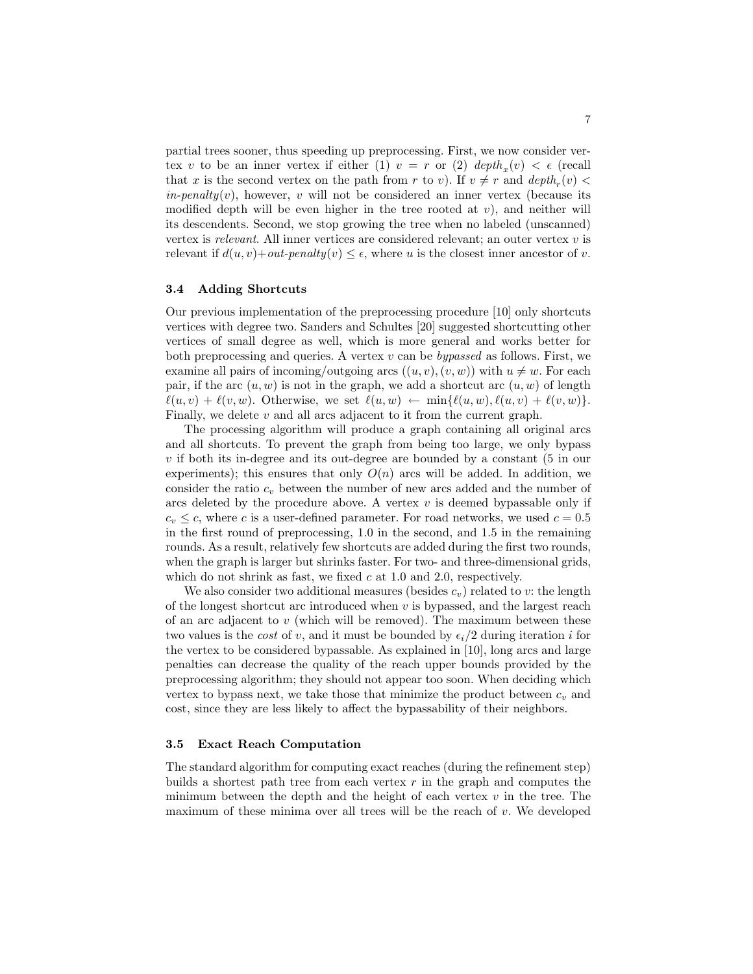partial trees sooner, thus speeding up preprocessing. First, we now consider vertex v to be an inner vertex if either (1)  $v = r$  or (2)  $depth_x(v) < \epsilon$  (recall that x is the second vertex on the path from r to v). If  $v \neq r$  and  $depth_r(v)$  $in-penalty(v)$ , however, v will not be considered an inner vertex (because its modified depth will be even higher in the tree rooted at  $v$ ), and neither will its descendents. Second, we stop growing the tree when no labeled (unscanned) vertex is relevant. All inner vertices are considered relevant; an outer vertex  $v$  is relevant if  $d(u, v) + out-penalty(v) \leq \epsilon$ , where u is the closest inner ancestor of v.

## 3.4 Adding Shortcuts

Our previous implementation of the preprocessing procedure [10] only shortcuts vertices with degree two. Sanders and Schultes [20] suggested shortcutting other vertices of small degree as well, which is more general and works better for both preprocessing and queries. A vertex  $v$  can be *bypassed* as follows. First, we examine all pairs of incoming/outgoing arcs  $((u, v), (v, w))$  with  $u \neq w$ . For each pair, if the arc  $(u, w)$  is not in the graph, we add a shortcut arc  $(u, w)$  of length  $\ell(u, v) + \ell(v, w)$ . Otherwise, we set  $\ell(u, w) \leftarrow \min{\ell(u, w), \ell(u, v) + \ell(v, w)}$ . Finally, we delete  $v$  and all arcs adjacent to it from the current graph.

The processing algorithm will produce a graph containing all original arcs and all shortcuts. To prevent the graph from being too large, we only bypass  $v$  if both its in-degree and its out-degree are bounded by a constant  $(5 \text{ in our})$ experiments); this ensures that only  $O(n)$  arcs will be added. In addition, we consider the ratio  $c_v$  between the number of new arcs added and the number of arcs deleted by the procedure above. A vertex  $v$  is deemed bypassable only if  $c_v \leq c$ , where c is a user-defined parameter. For road networks, we used  $c = 0.5$ in the first round of preprocessing, 1.0 in the second, and 1.5 in the remaining rounds. As a result, relatively few shortcuts are added during the first two rounds, when the graph is larger but shrinks faster. For two- and three-dimensional grids, which do not shrink as fast, we fixed  $c$  at 1.0 and 2.0, respectively.

We also consider two additional measures (besides  $c_v$ ) related to v: the length of the longest shortcut arc introduced when  $v$  is bypassed, and the largest reach of an arc adjacent to  $v$  (which will be removed). The maximum between these two values is the *cost* of v, and it must be bounded by  $\epsilon_i/2$  during iteration i for the vertex to be considered bypassable. As explained in [10], long arcs and large penalties can decrease the quality of the reach upper bounds provided by the preprocessing algorithm; they should not appear too soon. When deciding which vertex to bypass next, we take those that minimize the product between  $c_v$  and cost, since they are less likely to affect the bypassability of their neighbors.

#### 3.5 Exact Reach Computation

The standard algorithm for computing exact reaches (during the refinement step) builds a shortest path tree from each vertex  $r$  in the graph and computes the minimum between the depth and the height of each vertex  $v$  in the tree. The maximum of these minima over all trees will be the reach of  $v$ . We developed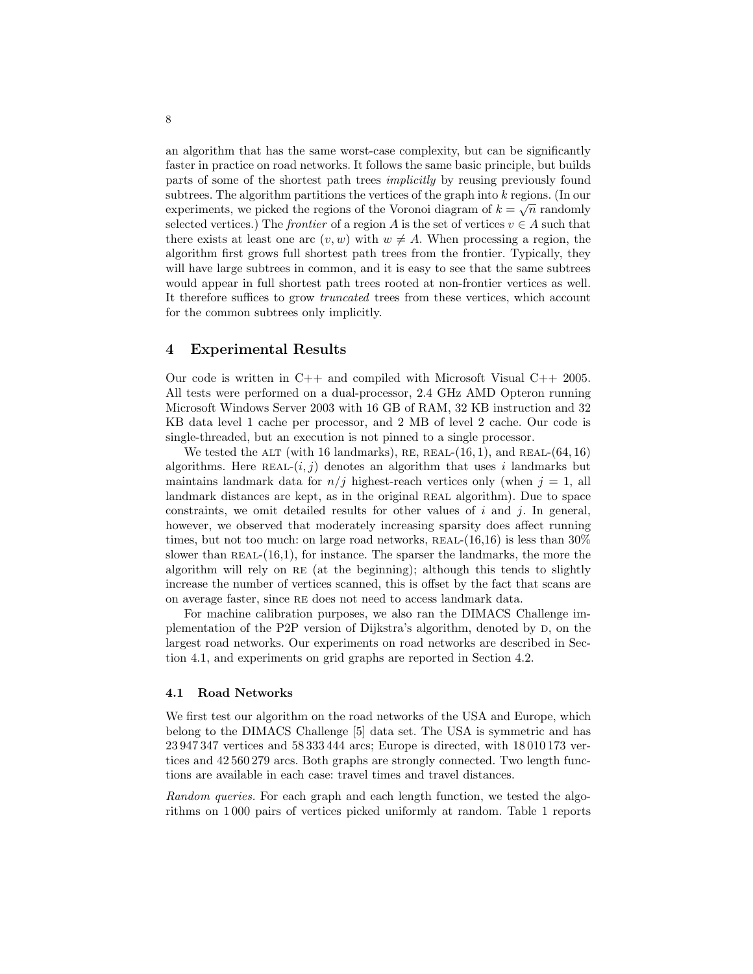an algorithm that has the same worst-case complexity, but can be significantly faster in practice on road networks. It follows the same basic principle, but builds parts of some of the shortest path trees implicitly by reusing previously found subtrees. The algorithm partitions the vertices of the graph into  $k$  regions. (In our experiments, we picked the regions of the Voronoi diagram of  $k = \sqrt{n}$  randomly selected vertices.) The *frontier* of a region A is the set of vertices  $v \in A$  such that there exists at least one arc  $(v, w)$  with  $w \neq A$ . When processing a region, the algorithm first grows full shortest path trees from the frontier. Typically, they will have large subtrees in common, and it is easy to see that the same subtrees would appear in full shortest path trees rooted at non-frontier vertices as well. It therefore suffices to grow truncated trees from these vertices, which account for the common subtrees only implicitly.

## 4 Experimental Results

Our code is written in C++ and compiled with Microsoft Visual C++ 2005. All tests were performed on a dual-processor, 2.4 GHz AMD Opteron running Microsoft Windows Server 2003 with 16 GB of RAM, 32 KB instruction and 32 KB data level 1 cache per processor, and 2 MB of level 2 cache. Our code is single-threaded, but an execution is not pinned to a single processor.

We tested the ALT (with 16 landmarks), RE, REAL- $(16, 1)$ , and REAL- $(64, 16)$ algorithms. Here REAL- $(i, j)$  denotes an algorithm that uses i landmarks but maintains landmark data for  $n/j$  highest-reach vertices only (when  $j = 1$ , all landmark distances are kept, as in the original REAL algorithm). Due to space constraints, we omit detailed results for other values of  $i$  and  $j$ . In general, however, we observed that moderately increasing sparsity does affect running times, but not too much: on large road networks,  $REAL-(16,16)$  is less than  $30\%$ slower than  $REAL-(16,1)$ , for instance. The sparser the landmarks, the more the algorithm will rely on re (at the beginning); although this tends to slightly increase the number of vertices scanned, this is offset by the fact that scans are on average faster, since re does not need to access landmark data.

For machine calibration purposes, we also ran the DIMACS Challenge implementation of the P2P version of Dijkstra's algorithm, denoted by D, on the largest road networks. Our experiments on road networks are described in Section 4.1, and experiments on grid graphs are reported in Section 4.2.

#### 4.1 Road Networks

We first test our algorithm on the road networks of the USA and Europe, which belong to the DIMACS Challenge [5] data set. The USA is symmetric and has 23 947 347 vertices and 58 333 444 arcs; Europe is directed, with 18 010 173 vertices and 42 560 279 arcs. Both graphs are strongly connected. Two length functions are available in each case: travel times and travel distances.

Random queries. For each graph and each length function, we tested the algorithms on 1 000 pairs of vertices picked uniformly at random. Table 1 reports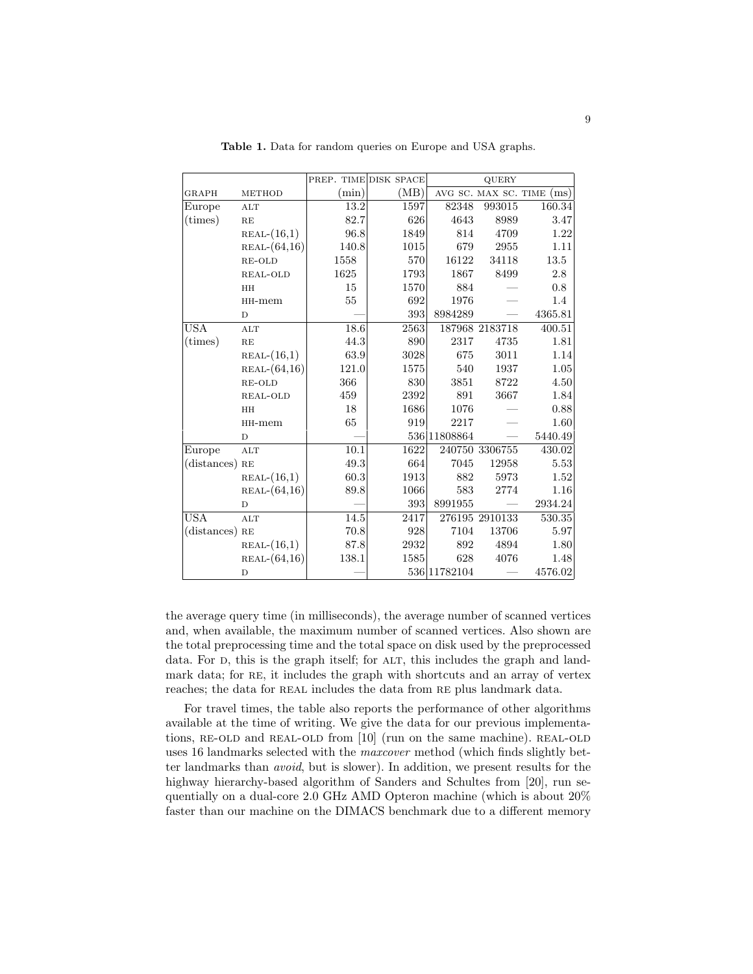|                  |                |       | PREP. TIME DISK SPACE |               | QUERY                |          |
|------------------|----------------|-------|-----------------------|---------------|----------------------|----------|
| GRAPH            | <b>METHOD</b>  | (min) | (MB)                  |               | AVG SC. MAX SC. TIME | (ms)     |
| Europe           | ALT            | 13.2  | 1597                  | 82348         | 993015               | 160.34   |
| $(\text{times})$ | RE             | 82.7  | 626                   | 4643          | 8989                 | 3.47     |
|                  | $REAL-(16,1)$  | 96.8  | 1849                  | 814           | 4709                 | 1.22     |
|                  | $REAL-(64,16)$ | 140.8 | 1015                  | 679           | 2955                 | 1.11     |
|                  | RE-OLD         | 1558  | 570                   | 16122         | 34118                | 13.5     |
|                  | REAL-OLD       | 1625  | 1793                  | 1867          | 8499                 | 2.8      |
|                  | HH             | 15    | 1570                  | 884           |                      | 0.8      |
|                  | $HH$ -mem      | 55    | 692                   | 1976          |                      | 1.4      |
|                  | D              |       | 393                   | 8984289       |                      | 4365.81  |
| <b>USA</b>       | ALT            | 18.6  | 2563                  |               | 187968 2183718       | 400.51   |
| $(\text{times})$ | RE             | 44.3  | 890                   | 2317          | 4735                 | 1.81     |
|                  | $REAL-(16,1)$  | 63.9  | 3028                  | 675           | 3011                 | 1.14     |
|                  | $REAL-(64,16)$ | 121.0 | 1575                  | 540           | 1937                 | $1.05\,$ |
|                  | RE-OLD         | 366   | 830                   | 3851          | 8722                 | 4.50     |
|                  | REAL-OLD       | 459   | 2392                  | 891           | 3667                 | 1.84     |
|                  | HH             | 18    | 1686                  | 1076          |                      | 0.88     |
|                  | $HH$ -mem      | 65    | 919                   | 2217          |                      | 1.60     |
|                  | D              |       |                       | 536 11808864  |                      | 5440.49  |
| Europe           | ALT            | 10.1  | 1622                  |               | 240750 3306755       | 430.02   |
| (distances) RE   |                | 49.3  | 664                   | 7045          | 12958                | 5.53     |
|                  | $REAL-(16,1)$  | 60.3  | 1913                  | 882           | 5973                 | 1.52     |
|                  | $REAL-(64,16)$ | 89.8  | 1066                  | 583           | 2774                 | 1.16     |
|                  | D              |       | 393                   | 8991955       |                      | 2934.24  |
| <b>USA</b>       | <b>ALT</b>     | 14.5  | 2417                  |               | 276195 2910133       | 530.35   |
| (distances) RE   |                | 70.8  | 928                   | 7104          | 13706                | 5.97     |
|                  | $REAL-(16,1)$  | 87.8  | 2932                  | 892           | 4894                 | 1.80     |
|                  | $REAL-(64,16)$ | 138.1 | 1585                  | 628           | 4076                 | 1.48     |
|                  | D              |       |                       | 536 1178 2104 |                      | 4576.02  |

Table 1. Data for random queries on Europe and USA graphs.

the average query time (in milliseconds), the average number of scanned vertices and, when available, the maximum number of scanned vertices. Also shown are the total preprocessing time and the total space on disk used by the preprocessed data. For D, this is the graph itself; for ALT, this includes the graph and landmark data; for RE, it includes the graph with shortcuts and an array of vertex reaches; the data for REAL includes the data from RE plus landmark data.

For travel times, the table also reports the performance of other algorithms available at the time of writing. We give the data for our previous implementations, RE-OLD and REAL-OLD from [10] (run on the same machine). REAL-OLD uses 16 landmarks selected with the maxcover method (which finds slightly better landmarks than avoid, but is slower). In addition, we present results for the highway hierarchy-based algorithm of Sanders and Schultes from [20], run sequentially on a dual-core 2.0 GHz AMD Opteron machine (which is about 20% faster than our machine on the DIMACS benchmark due to a different memory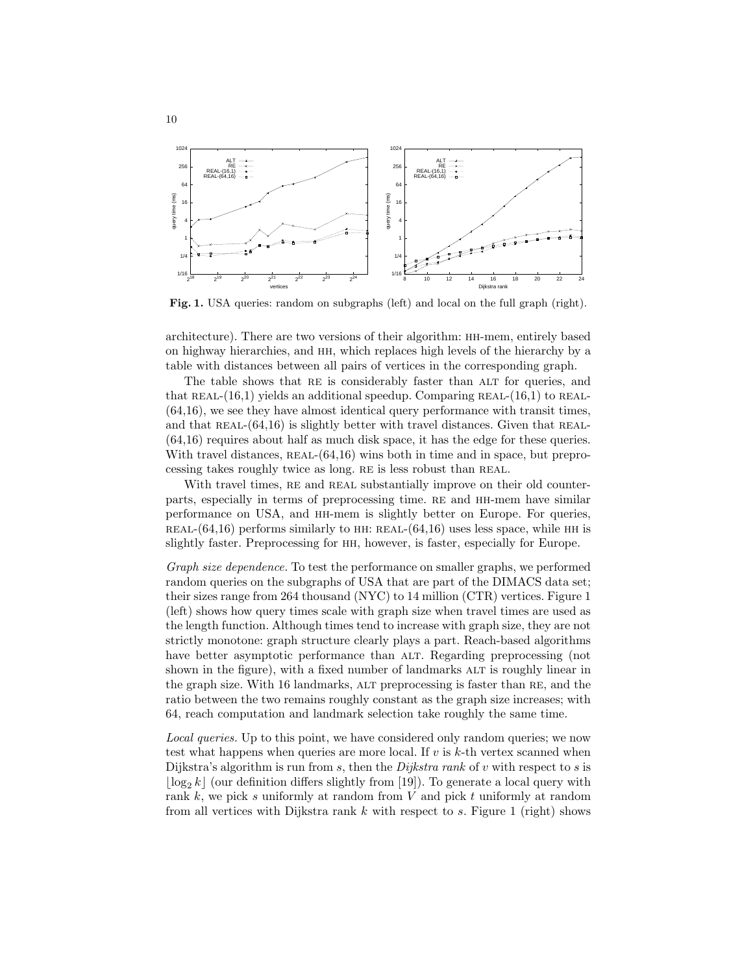

Fig. 1. USA queries: random on subgraphs (left) and local on the full graph (right).

architecture). There are two versions of their algorithm: hh-mem, entirely based on highway hierarchies, and hh, which replaces high levels of the hierarchy by a table with distances between all pairs of vertices in the corresponding graph.

The table shows that RE is considerably faster than ALT for queries, and that REAL- $(16,1)$  yields an additional speedup. Comparing REAL- $(16,1)$  to REAL-(64,16), we see they have almost identical query performance with transit times, and that REAL- $(64.16)$  is slightly better with travel distances. Given that REAL-(64,16) requires about half as much disk space, it has the edge for these queries. With travel distances,  $REAL-(64,16)$  wins both in time and in space, but preprocessing takes roughly twice as long. RE is less robust than REAL.

With travel times, RE and REAL substantially improve on their old counterparts, especially in terms of preprocessing time. RE and HH-mem have similar performance on USA, and hh-mem is slightly better on Europe. For queries, REAL- $(64,16)$  performs similarly to HH: REAL- $(64,16)$  uses less space, while HH is slightly faster. Preprocessing for hh, however, is faster, especially for Europe.

Graph size dependence. To test the performance on smaller graphs, we performed random queries on the subgraphs of USA that are part of the DIMACS data set; their sizes range from 264 thousand (NYC) to 14 million (CTR) vertices. Figure 1 (left) shows how query times scale with graph size when travel times are used as the length function. Although times tend to increase with graph size, they are not strictly monotone: graph structure clearly plays a part. Reach-based algorithms have better asymptotic performance than ALT. Regarding preprocessing (not shown in the figure), with a fixed number of landmarks ALT is roughly linear in the graph size. With 16 landmarks, alt preprocessing is faster than re, and the ratio between the two remains roughly constant as the graph size increases; with 64, reach computation and landmark selection take roughly the same time.

Local queries. Up to this point, we have considered only random queries; we now test what happens when queries are more local. If  $v$  is  $k$ -th vertex scanned when Dijkstra's algorithm is run from s, then the *Dijkstra rank* of v with respect to s is  $\lfloor \log_2 k \rfloor$  (our definition differs slightly from [19]). To generate a local query with rank  $k$ , we pick s uniformly at random from  $V$  and pick  $t$  uniformly at random from all vertices with Dijkstra rank  $k$  with respect to  $s$ . Figure 1 (right) shows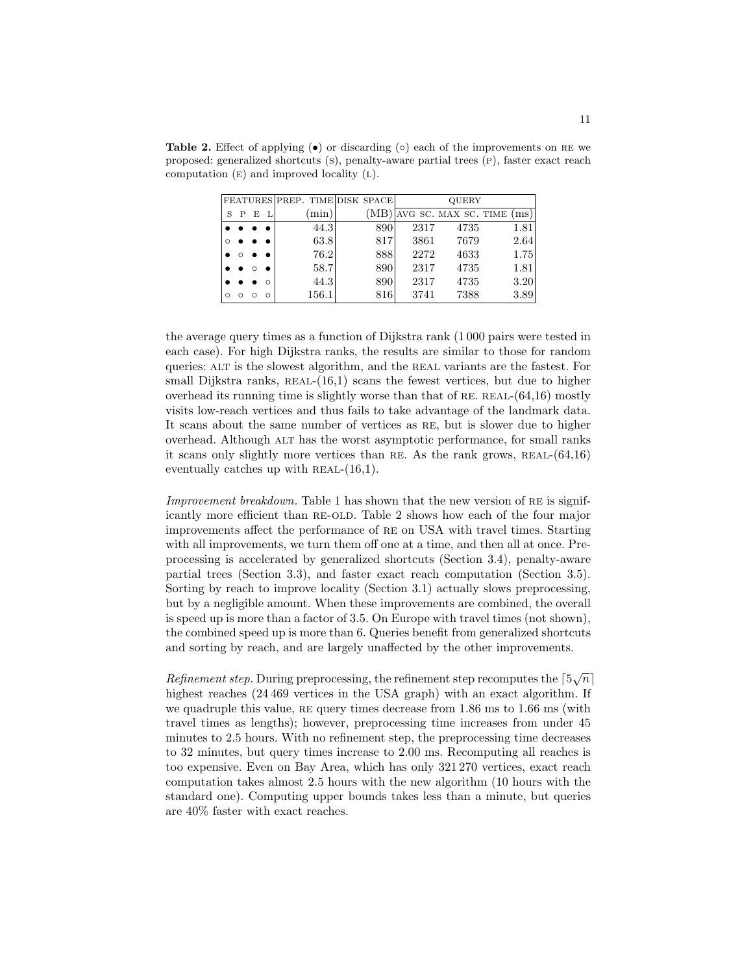**Table 2.** Effect of applying  $\bullet$  or discarding ( $\circ$ ) each of the improvements on RE we proposed: generalized shortcuts (s), penalty-aware partial trees (p), faster exact reach computation  $(E)$  and improved locality  $(L)$ .

|         |   |                      |          | FEATURES PREP. TIME DISK SPACE |     | <b>QUERY</b> |                     |      |
|---------|---|----------------------|----------|--------------------------------|-----|--------------|---------------------|------|
| S       | P | E                    |          | min)                           | (MB |              | NG SC. MAX SC. TIME | (ms) |
|         |   | $\bullet\quadbullet$ |          | 44.3                           | 890 | 2317         | 4735                | 1.81 |
|         |   |                      |          | 63.8                           | 817 | 3861         | 7679                | 2.64 |
|         |   |                      |          | 76.2                           | 888 | 2272         | 4633                | 1.75 |
|         |   |                      |          | 58.7                           | 890 | 2317         | 4735                | 1.81 |
|         |   |                      | $\Omega$ | 44.3                           | 890 | 2317         | 4735                | 3.20 |
| $\circ$ |   |                      |          | 156.1                          | 816 | 3741         | 7388                | 3.89 |

the average query times as a function of Dijkstra rank (1 000 pairs were tested in each case). For high Dijkstra ranks, the results are similar to those for random queries: alt is the slowest algorithm, and the real variants are the fastest. For small Dijkstra ranks,  $REAL-(16,1)$  scans the fewest vertices, but due to higher overhead its running time is slightly worse than that of RE. REAL- $(64,16)$  mostly visits low-reach vertices and thus fails to take advantage of the landmark data. It scans about the same number of vertices as re, but is slower due to higher overhead. Although ALT has the worst asymptotic performance, for small ranks it scans only slightly more vertices than RE. As the rank grows,  $REAL-(64,16)$ eventually catches up with  $REAL-(16,1)$ .

Improvement breakdown. Table 1 has shown that the new version of RE is significantly more efficient than re-old. Table 2 shows how each of the four major improvements affect the performance of re on USA with travel times. Starting with all improvements, we turn them off one at a time, and then all at once. Preprocessing is accelerated by generalized shortcuts (Section 3.4), penalty-aware partial trees (Section 3.3), and faster exact reach computation (Section 3.5). Sorting by reach to improve locality (Section 3.1) actually slows preprocessing, but by a negligible amount. When these improvements are combined, the overall is speed up is more than a factor of 3.5. On Europe with travel times (not shown), the combined speed up is more than 6. Queries benefit from generalized shortcuts and sorting by reach, and are largely unaffected by the other improvements.

Refinement step. During preprocessing, the refinement step recomputes the  $\lceil 5\sqrt{n}\rceil$ highest reaches (24 469 vertices in the USA graph) with an exact algorithm. If we quadruple this value,  $RE$  query times decrease from  $1.86$  ms to  $1.66$  ms (with travel times as lengths); however, preprocessing time increases from under 45 minutes to 2.5 hours. With no refinement step, the preprocessing time decreases to 32 minutes, but query times increase to 2.00 ms. Recomputing all reaches is too expensive. Even on Bay Area, which has only 321 270 vertices, exact reach computation takes almost 2.5 hours with the new algorithm (10 hours with the standard one). Computing upper bounds takes less than a minute, but queries are 40% faster with exact reaches.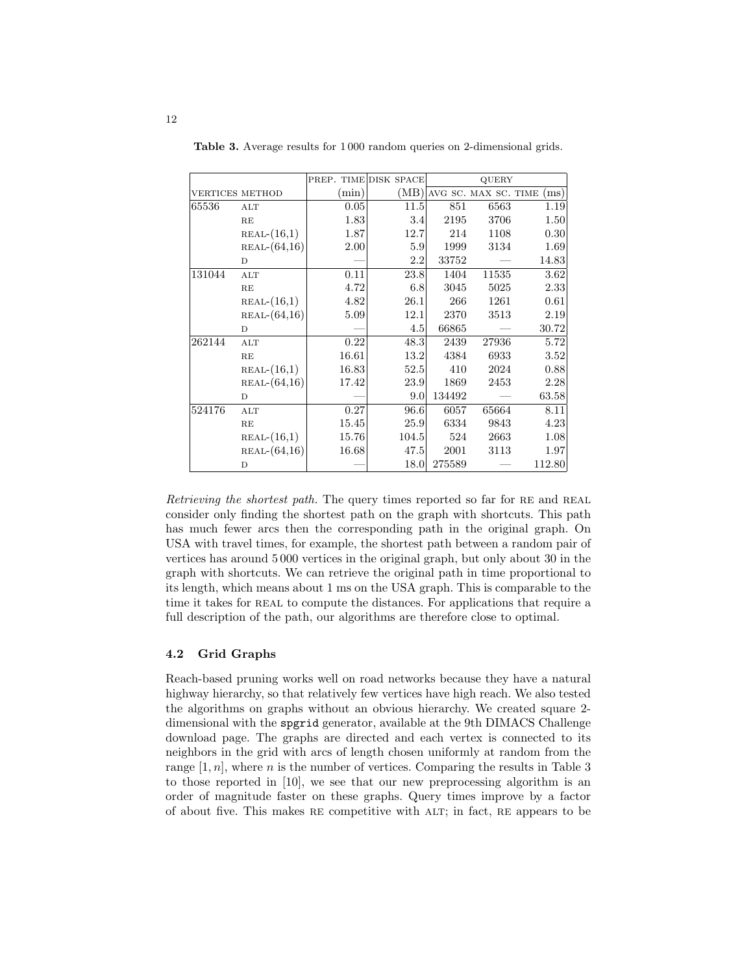|                        |                |       | PREP. TIME DISK SPACE | QUERY  |       |                                    |
|------------------------|----------------|-------|-----------------------|--------|-------|------------------------------------|
| <b>VERTICES METHOD</b> |                | (min) |                       |        |       | $(MB)$ AVG SC. MAX SC. TIME $(ms)$ |
| 65536                  | ALT            | 0.05  | 11.5                  | 851    | 6563  | 1.19                               |
|                        | RE             | 1.83  | 3.4                   | 2195   | 3706  | 1.50                               |
|                        | $REAL-(16,1)$  | 1.87  | 12.7                  | 214    | 1108  | 0.30                               |
|                        | $REAL-(64,16)$ | 2.00  | 5.9                   | 1999   | 3134  | 1.69                               |
|                        | D              |       | 2.2                   | 33752  |       | 14.83                              |
| 131044                 | ALT            | 0.11  | 23.8                  | 1404   | 11535 | 3.62                               |
|                        | RE             | 4.72  | 6.8                   | 3045   | 5025  | 2.33                               |
|                        | $REAL-(16,1)$  | 4.82  | 26.1                  | 266    | 1261  | 0.61                               |
|                        | $REAL-(64,16)$ | 5.09  | 12.1                  | 2370   | 3513  | 2.19                               |
|                        | D              |       | 4.5                   | 66865  |       | 30.72                              |
| 262144                 | ALT            | 0.22  | 48.3                  | 2439   | 27936 | 5.72                               |
|                        | RE             | 16.61 | 13.2                  | 4384   | 6933  | 3.52                               |
|                        | $REAL-(16,1)$  | 16.83 | 52.5                  | 410    | 2024  | 0.88                               |
|                        | $REAL-(64,16)$ | 17.42 | 23.9                  | 1869   | 2453  | 2.28                               |
|                        | D              |       | 9.0                   | 134492 |       | 63.58                              |
| 524176                 | $\mathbf{ALT}$ | 0.27  | 96.6                  | 6057   | 65664 | 8.11                               |
|                        | RE             | 15.45 | 25.9                  | 6334   | 9843  | 4.23                               |
|                        | $REAL-(16,1)$  | 15.76 | 104.5                 | 524    | 2663  | 1.08                               |
|                        | $REAL-(64,16)$ | 16.68 | 47.5                  | 2001   | 3113  | 1.97                               |
|                        | D              |       | 18.0                  | 275589 |       | 112.80                             |

Table 3. Average results for 1 000 random queries on 2-dimensional grids.

Retrieving the shortest path. The query times reported so far for RE and REAL consider only finding the shortest path on the graph with shortcuts. This path has much fewer arcs then the corresponding path in the original graph. On USA with travel times, for example, the shortest path between a random pair of vertices has around 5 000 vertices in the original graph, but only about 30 in the graph with shortcuts. We can retrieve the original path in time proportional to its length, which means about 1 ms on the USA graph. This is comparable to the time it takes for REAL to compute the distances. For applications that require a full description of the path, our algorithms are therefore close to optimal.

#### 4.2 Grid Graphs

Reach-based pruning works well on road networks because they have a natural highway hierarchy, so that relatively few vertices have high reach. We also tested the algorithms on graphs without an obvious hierarchy. We created square 2 dimensional with the spgrid generator, available at the 9th DIMACS Challenge download page. The graphs are directed and each vertex is connected to its neighbors in the grid with arcs of length chosen uniformly at random from the range  $[1, n]$ , where *n* is the number of vertices. Comparing the results in Table 3 to those reported in [10], we see that our new preprocessing algorithm is an order of magnitude faster on these graphs. Query times improve by a factor of about five. This makes re competitive with alt; in fact, re appears to be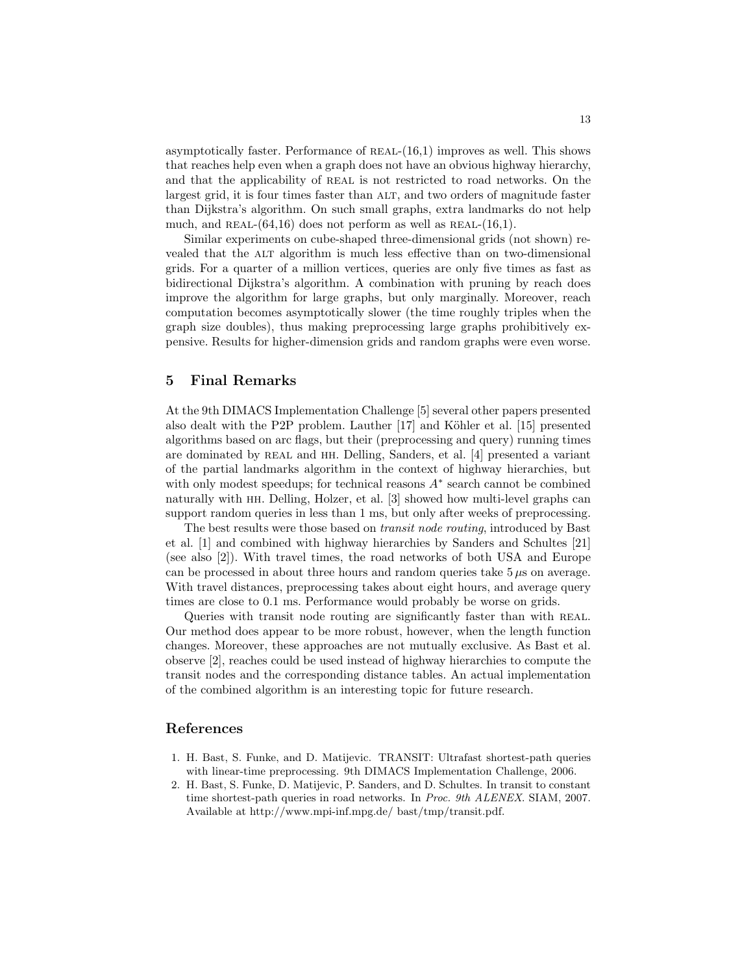asymptotically faster. Performance of  $REAL-(16,1)$  improves as well. This shows that reaches help even when a graph does not have an obvious highway hierarchy, and that the applicability of REAL is not restricted to road networks. On the largest grid, it is four times faster than ALT, and two orders of magnitude faster than Dijkstra's algorithm. On such small graphs, extra landmarks do not help much, and REAL- $(64,16)$  does not perform as well as REAL- $(16,1)$ .

Similar experiments on cube-shaped three-dimensional grids (not shown) revealed that the ALT algorithm is much less effective than on two-dimensional grids. For a quarter of a million vertices, queries are only five times as fast as bidirectional Dijkstra's algorithm. A combination with pruning by reach does improve the algorithm for large graphs, but only marginally. Moreover, reach computation becomes asymptotically slower (the time roughly triples when the graph size doubles), thus making preprocessing large graphs prohibitively expensive. Results for higher-dimension grids and random graphs were even worse.

## 5 Final Remarks

At the 9th DIMACS Implementation Challenge [5] several other papers presented also dealt with the P2P problem. Lauther  $[17]$  and Köhler et al.  $[15]$  presented algorithms based on arc flags, but their (preprocessing and query) running times are dominated by real and hh. Delling, Sanders, et al. [4] presented a variant of the partial landmarks algorithm in the context of highway hierarchies, but with only modest speedups; for technical reasons  $A^*$  search cannot be combined naturally with hh. Delling, Holzer, et al. [3] showed how multi-level graphs can support random queries in less than 1 ms, but only after weeks of preprocessing.

The best results were those based on transit node routing, introduced by Bast et al. [1] and combined with highway hierarchies by Sanders and Schultes [21] (see also [2]). With travel times, the road networks of both USA and Europe can be processed in about three hours and random queries take  $5 \mu s$  on average. With travel distances, preprocessing takes about eight hours, and average query times are close to 0.1 ms. Performance would probably be worse on grids.

Queries with transit node routing are significantly faster than with REAL. Our method does appear to be more robust, however, when the length function changes. Moreover, these approaches are not mutually exclusive. As Bast et al. observe [2], reaches could be used instead of highway hierarchies to compute the transit nodes and the corresponding distance tables. An actual implementation of the combined algorithm is an interesting topic for future research.

## References

- 1. H. Bast, S. Funke, and D. Matijevic. TRANSIT: Ultrafast shortest-path queries with linear-time preprocessing. 9th DIMACS Implementation Challenge, 2006.
- 2. H. Bast, S. Funke, D. Matijevic, P. Sanders, and D. Schultes. In transit to constant time shortest-path queries in road networks. In Proc. 9th ALENEX. SIAM, 2007. Available at http://www.mpi-inf.mpg.de/ bast/tmp/transit.pdf.